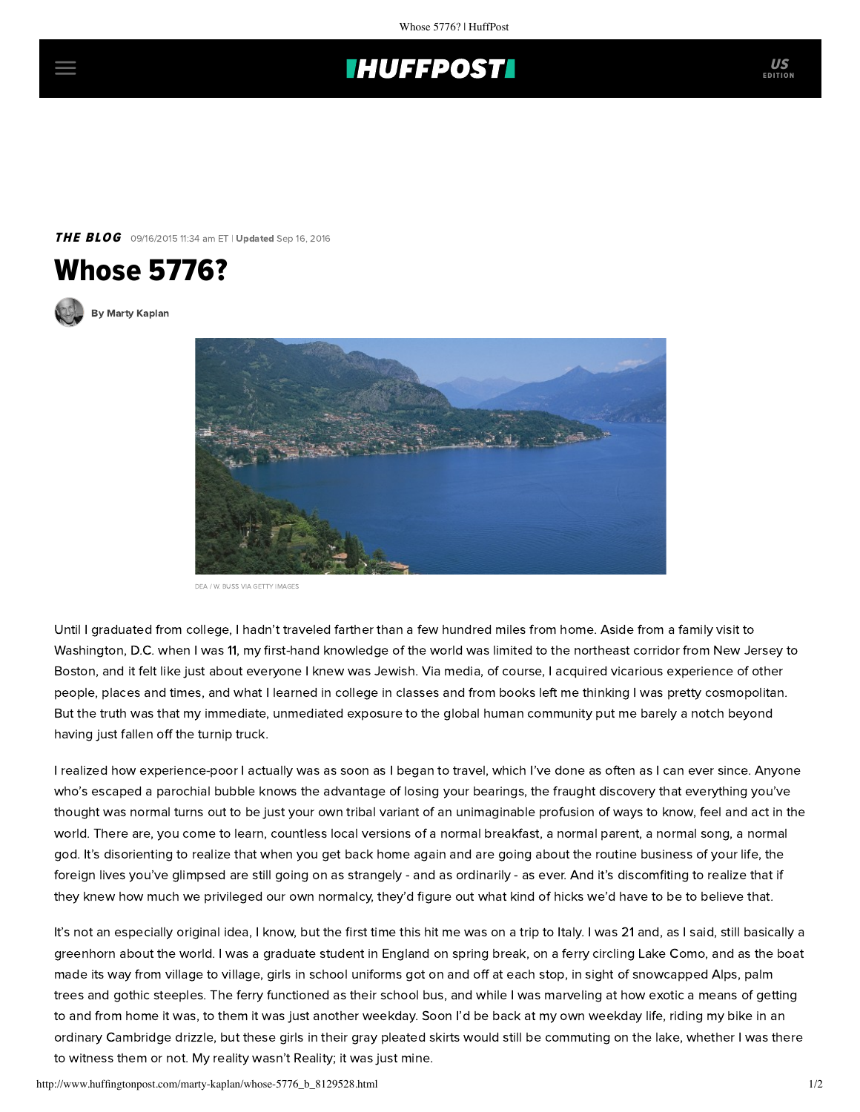## **THUFFPOST**

**THE BLOG** 09/16/2015 11:34 am ET | Updated Sep 16, 2016



[By Marty Kaplan](http://www.huffingtonpost.com/author/marty-kaplan)



DEA / W. BUSS VIA GETTY IMAGES

Until I graduated from college, I hadn't traveled farther than a few hundred miles from home. Aside from a family visit to Washington, D.C. when I was 11, my first-hand knowledge of the world was limited to the northeast corridor from New Jersey to Boston, and it felt like just about everyone I knew was Jewish. Via media, of course, I acquired vicarious experience of other people, places and times, and what I learned in college in classes and from books left me thinking I was pretty cosmopolitan. But the truth was that my immediate, unmediated exposure to the global human community put me barely a notch beyond having just fallen off the turnip truck.

I realized how experience-poor I actually was as soon as I began to travel, which I've done as often as I can ever since. Anyone who's escaped a parochial bubble knows the advantage of losing your bearings, the fraught discovery that everything you've thought was normal turns out to be just your own tribal variant of an unimaginable profusion of ways to know, feel and act in the world. There are, you come to learn, countless local versions of a normal breakfast, a normal parent, a normal song, a normal god. It's disorienting to realize that when you get back home again and are going about the routine business of your life, the foreign lives you've glimpsed are still going on as strangely - and as ordinarily - as ever. And it's discomfiting to realize that if they knew how much we privileged our own normalcy, they'd figure out what kind of hicks we'd have to be to believe that.

It's not an especially original idea, I know, but the first time this hit me was on a trip to Italy. I was 21 and, as I said, still basically a greenhorn about the world. I was a graduate student in England on spring break, on a ferry circling Lake Como, and as the boat made its way from village to village, girls in school uniforms got on and off at each stop, in sight of snowcapped Alps, palm trees and gothic steeples. The ferry functioned as their school bus, and while I was marveling at how exotic a means of getting to and from home it was, to them it was just another weekday. Soon I'd be back at my own weekday life, riding my bike in an ordinary Cambridge drizzle, but these girls in their gray pleated skirts would still be commuting on the lake, whether I was there to witness them or not. My reality wasn't Reality; it was just mine.